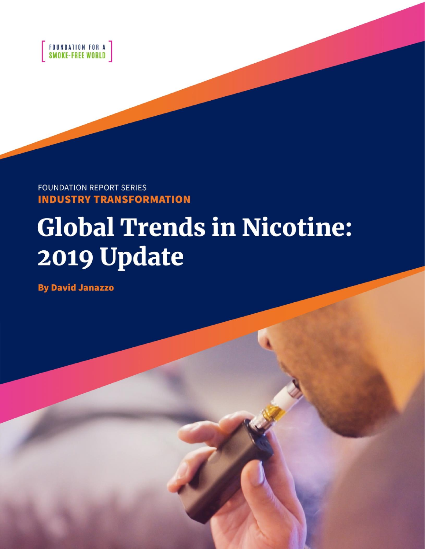

**FOUNDATION REPORT SERIES INDUSTRY TRANSFORMATION** 

# **Global Trends in Nicotine:** 2019 Update

**By David Janazzo**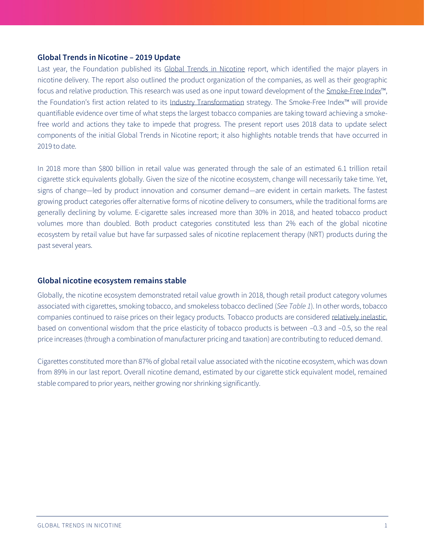#### **Global Trends in Nicotine – 2019 Update**

Last year, the Foundation published its [Global Trends in Nicotine](https://www.smokefreeworld.org/sites/default/files/fsfw-report-trends-in-nicotine-1005201811.pdf/) report, which identified the major players in nicotine delivery. The report also outlined the product organization of the companies, as well as their geographic focus and relative production. This research was used as one input toward development of the [Smoke-Free Index](https://www.smokefreeworld.org/advancing-industry-transformation/smoke-free-index)™, the Foundation's first action related to its [Industry Transformation](https://www.smokefreeworld.org/advancing-industry-transformation) strategy. The Smoke-Free Index™ will provide quantifiable evidence over time of what steps the largest tobacco companies are taking toward achieving a smokefree world and actions they take to impede that progress. The present report uses 2018 data to update select components of the initial Global Trends in Nicotine report; it also highlights notable trends that have occurred in 2019 to date.

In 2018 more than \$800 billion in retail value was generated through the sale of an estimated 6.1 trillion retail cigarette stick equivalents globally. Given the size of the nicotine ecosystem, change will necessarily take time. Yet, signs of change—led by product innovation and consumer demand—are evident in certain markets. The fastest growing product categories offer alternative forms of nicotine delivery to consumers, while the traditional forms are generally declining by volume. E-cigarette sales increased more than 30% in 2018, and heated tobacco product volumes more than doubled. Both product categories constituted less than 2% each of the global nicotine ecosystem by retail value but have far surpassed sales of nicotine replacement therapy (NRT) products during the past several years.

### **Global nicotine ecosystem remains stable**

Globally, the nicotine ecosystem demonstrated retail value growth in 2018, though retail product category volumes associated with cigarettes, smoking tobacco, and smokeless tobacco declined (*See Table 1*). In other words, tobacco companies continued to raise prices on their legacy products. Tobacco products are considere[d relatively inelastic,](https://www.who.int/tobacco/economics/meetings/dublin_demand_for_tob_feb2012.pdf) based on conventional wisdom that the price elasticity of tobacco products is between –0.3 and –0.5, so the real price increases (through a combination of manufacturer pricing and taxation) are contributing to reduced demand.

Cigarettes constituted more than 87% of global retail value associated with the nicotine ecosystem, which was down from 89% in our last report. Overall nicotine demand, estimated by our cigarette stick equivalent model, remained stable compared to prior years, neither growing nor shrinking significantly.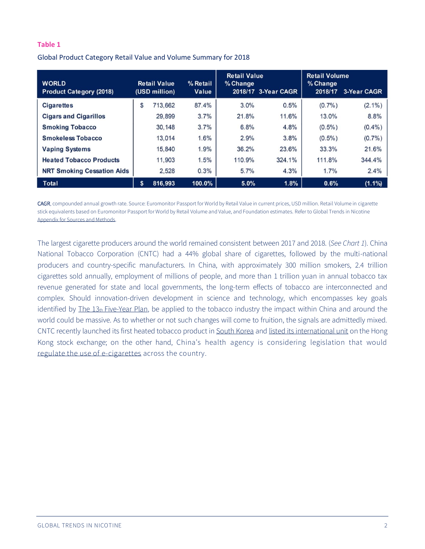#### **Table 1**

Global Product Category Retail Value and Volume Summary for 2018

| <b>WORLD</b><br><b>Product Category (2018)</b> | <b>Retail Value</b><br>(USD million) | % Retail<br><b>Value</b> | <b>Retail Value</b><br>$%$ Change | 2018/17 3-Year CAGR | <b>Retail Volume</b><br>% Change<br>2018/17 | 3-Year CAGR |
|------------------------------------------------|--------------------------------------|--------------------------|-----------------------------------|---------------------|---------------------------------------------|-------------|
| <b>Cigarettes</b>                              | \$<br>713,662                        | 87.4%                    | 3.0%                              | 0.5%                | $(0.7\%)$                                   | $(2.1\%)$   |
| <b>Cigars and Cigarillos</b>                   | 29,899                               | 3.7%                     | 21.8%                             | 11.6%               | 13.0%                                       | 8.8%        |
| <b>Smoking Tobacco</b>                         | 30,148                               | 3.7%                     | 6.8%                              | 4.8%                | $(0.5\%)$                                   | $(0.4\%)$   |
| <b>Smokeless Tobacco</b>                       | 13,014                               | 1.6%                     | 2.9%                              | 3.8%                | $(0.5\%)$                                   | (0.7%       |
| <b>Vaping Systems</b>                          | 15,840                               | 1.9%                     | 36.2%                             | 23.6%               | 33.3%                                       | 21.6%       |
| <b>Heated Tobacco Products</b>                 | 11,903                               | 1.5%                     | 110.9%                            | 324.1%              | 111.8%                                      | 344.4%      |
| <b>NRT Smoking Cessation Aids</b>              | 2,528                                | 0.3%                     | 5.7%                              | 4.3%                | 1.7%                                        | 2.4%        |
| Total                                          | \$<br>816,993                        | 100.0%                   | 5.0%                              | 1.8%                | 0.6%                                        | $(1.1\%)$   |

CAGR, compounded annual growth rate. Source: Euromonitor Passport for World by Retail Value in current prices, USD million. Retail Volume in cigarette stick equivalents based on Euromonitor Passport for World by Retail Volume and Value, and Foundation estimates. Refer to Global Trends in Nicotine [Appendix for Sources and Methods.](https://www.smokefreeworld.org/sites/default/files/fsfw-report-trends-in-nicotine-1005201811.pdf/) 

The largest cigarette producers around the world remained consistent between 2017 and 2018. (*See Chart 1*). China National Tobacco Corporation (CNTC) had a 44% global share of cigarettes, followed by the multi-national producers and country-specific manufacturers. In China, with approximately 300 million smokers, 2.4 trillion cigarettes sold annually, employment of millions of people, and more than 1 trillion yuan in annual tobacco tax revenue generated for state and local governments, the long-term effects of tobacco are interconnected and complex. Should innovation-driven development in science and technology, which encompasses key goals identified by The 13th [Five-Year Plan,](http://en.ndrc.gov.cn/newsrelease/201612/P020161207645765233498.pdf) be applied to the tobacco industry the impact within China and around the world could be massive. As to whether or not such changes will come to fruition, the signals are admittedly mixed. CNTC recently launched its first heated tobacco product in [South Korea](https://ecigintelligence.com/china-tobacco-launches-new-hnb-system-on-south-korean-market) and [listed its international unit](https://www.ft.com/content/77ea7cb0-8cbc-11e9-a1c1-51bf8f989972) on the Hong Kong stock exchange; on the other hand, China's health agency is considering legislation that would [regulate the use of e-cigarettes](https://techcrunch.com/2019/07/23/china-e-cigarette-regulation/) across the country.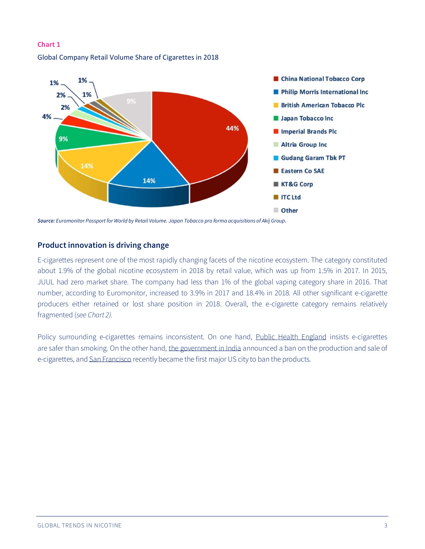

## **Chart 1** Global Company Retail Volume Share of Cigarettes in 2018

*Source: Euromonitor Passport for World by Retail Volume. Japan Tobacco pro forma acquisitions of Akij Group.*

### **Product innovation is driving change**

E-cigarettes represent one of the most rapidly changing facets of the nicotine ecosystem. The category constituted about 1.9% of the global nicotine ecosystem in 2018 by retail value, which was up from 1.5% in 2017. In 2015, JUUL had zero market share. The company had less than 1% of the global vaping category share in 2016. That number, according to Euromonitor, increased to 3.9% in 2017 and 18.4% in 2018. All other significant e-cigarette producers either retained or lost share position in 2018. Overall, the e-cigarette category remains relatively fragmented (*see Chart 2).*

Policy surrounding e-cigarettes remains inconsistent. On one hand, [Public Health England](https://www.bmj.com/content/363/bmj.k5429) insists e-cigarettes are safer than smoking. On the other hand, [the government in India](https://www.news18.com/news/india/govt-bans-e-cigarettes-citing-health-hazards-2313595.html) announced a ban on the production and sale of e-cigarettes, an[d San Francisco](https://nypost.com/2019/06/25/san-francisco-is-1st-major-us-city-to-ban-e-cigarettes/) recently became the first major US city to ban the products.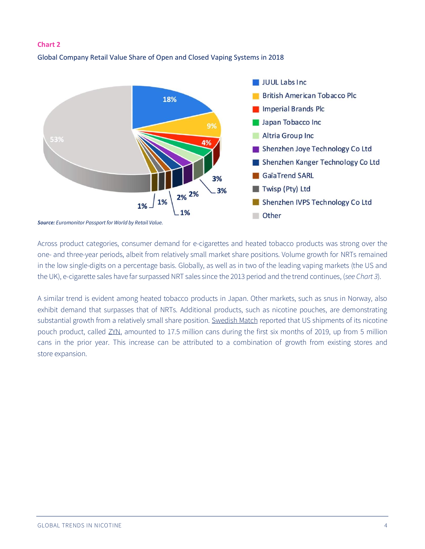#### **Chart 2**

### Global Company Retail Value Share of Open and Closed Vaping Systems in 2018



Across product categories, consumer demand for e-cigarettes and heated tobacco products was strong over the one- and three-year periods, albeit from relatively small market share positions. Volume growth for NRTs remained in the low single-digits on a percentage basis. Globally, as well as in two of the leading vaping markets (the US and the UK), e-cigarette sales have far surpassed NRT sales since the 2013 period and the trend continues, (*see Chart 3*).

A similar trend is evident among heated tobacco products in Japan. Other markets, such as snus in Norway, also exhibit demand that surpasses that of NRTs. Additional products, such as nicotine pouches, are demonstrating substantial growth from a relatively small share position. [Swedish Match](https://www.swedishmatch.com/globalassets/reports/interim-reports/2019_q2_swedish-match_en.pdf) reported that US shipments of its nicotine pouch product, called [ZYN,](https://www.zyn.com/us/en/questions/) amounted to 17.5 million cans during the first six months of 2019, up from 5 million cans in the prior year. This increase can be attributed to a combination of growth from existing stores and store expansion.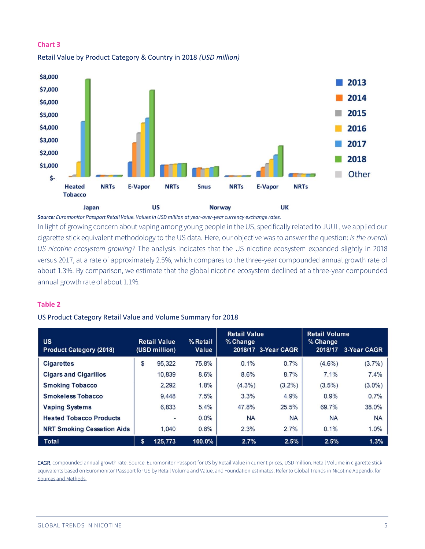

## **Chart 3** Retail Value by Product Category & Country in 2018 *(USD million)*

*Source: Euromonitor Passport Retail Value. Values in USD million at year-over-year currency exchange rates.* 

In light of growing concern about vaping among young people in the US, specifically related to JUUL, we applied our cigarette stick equivalent methodology to the US data. Here, our objective was to answer the question: *Is the overall US nicotine ecosystem growing?* The analysis indicates that the US nicotine ecosystem expanded slightly in 2018 versus 2017, at a rate of approximately 2.5%, which compares to the three-year compounded annual growth rate of about 1.3%. By comparison, we estimate that the global nicotine ecosystem declined at a three-year compounded annual growth rate of about 1.1%.

### **Table 2**

### US Product Category Retail Value and Volume Summary for 2018

| <b>US</b><br><b>Product Category (2018)</b> | <b>Retail Value</b><br>(USD million) | % Retail<br>Value | <b>Retail Value</b><br>% Change | 2018/17 3-Year CAGR | <b>Retail Volume</b><br>% Change<br>2018/17 | 3-Year CAGR |
|---------------------------------------------|--------------------------------------|-------------------|---------------------------------|---------------------|---------------------------------------------|-------------|
| <b>Cigarettes</b>                           | \$<br>95,322                         | 75.8%             | 0.1%                            | 0.7%                | $(4.6\%)$                                   | $(3.7\%)$   |
| <b>Cigars and Cigarillos</b>                | 10,839                               | 8.6%              | 8.6%                            | 8.7%                | 7.1%                                        | 7.4%        |
| <b>Smoking Tobacco</b>                      | 2.292                                | 1.8%              | $(4.3\%)$                       | $(3.2\%)$           | $(3.5\%)$                                   | $(3.0\%)$   |
| <b>Smokeless Tobacco</b>                    | 9.448                                | 7.5%              | 3.3%                            | 4.9%                | 0.9%                                        | 0.7%        |
| <b>Vaping Systems</b>                       | 6.833                                | 5.4%              | 47.8%                           | 25.5%               | 69.7%                                       | 38.0%       |
| <b>Heated Tobacco Products</b>              | $\overline{\phantom{a}}$             | $0.0\%$           | <b>NA</b>                       | <b>NA</b>           | <b>NA</b>                                   | <b>NA</b>   |
| <b>NRT Smoking Cessation Aids</b>           | 1.040                                | 0.8%              | 2.3%                            | 2.7%                | 0.1%                                        | 1.0%        |
| Total                                       | \$<br>125,773                        | 100.0%            | 2.7%                            | 2.5%                | 2.5%                                        | 1.3%        |

CAGR, compounded annual growth rate. Source: Euromonitor Passport for US by Retail Value in current prices, USD million. Retail Volume in cigarette stick equivalents based on Euromonitor Passport for US by Retail Volume and Value, and Foundation estimates. Refer to Global Trends in Nicotine Appendix for [Sources and Methods.](https://www.smokefreeworld.org/sites/default/files/fsfw-report-trends-in-nicotine-1005201811.pdf/)